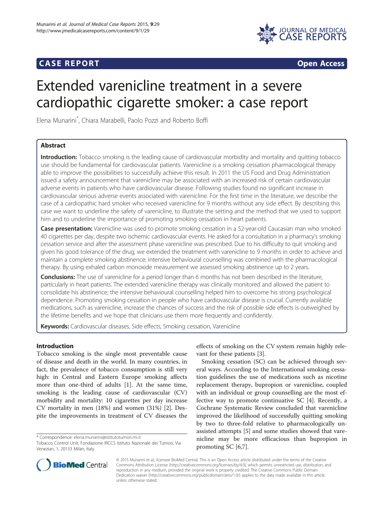## **CASE REPORT CASE REPORT**



# Extended varenicline treatment in a severe cardiopathic cigarette smoker: a case report

Elena Munarini\* , Chiara Marabelli, Paolo Pozzi and Roberto Boffi

## Abstract

Introduction: Tobacco smoking is the leading cause of cardiovascular morbidity and mortality and quitting tobacco use should be fundamental for cardiovascular patients. Varenicline is a smoking cessation pharmacological therapy able to improve the possibilities to successfully achieve this result. In 2011 the US Food and Drug Administration issued a safety announcement that varenicline may be associated with an increased risk of certain cardiovascular adverse events in patients who have cardiovascular disease. Following studies found no significant increase in cardiovascular serious adverse events associated with varenicline. For the first time in the literature, we describe the case of a cardiopathic hard smoker who received varenicline for 9 months without any side effect. By describing this case we want to underline the safety of varenicline, to illustrate the setting and the method that we used to support him and to underline the importance of promoting smoking cessation in heart patients.

Case presentation: Varenicline was used to promote smoking cessation in a 52-year-old Caucasian man who smoked 40 cigarettes per day, despite two ischemic cardiovascular events. He asked for a consultation in a pharmacy's smoking cessation service and after the assessment phase varenicline was prescribed. Due to his difficulty to quit smoking and given his good tolerance of the drug, we extended the treatment with varenicline to 9 months in order to achieve and maintain a complete smoking abstinence; intensive behavioural counselling was combined with the pharmacological therapy. By using exhaled carbon monoxide measurement we assessed smoking abstinence up to 2 years.

Conclusions: The use of varenicline for a period longer than 6 months has not been described in the literature, particularly in heart patients. The extended varenicline therapy was clinically monitored and allowed the patient to consolidate his abstinence; the intensive behavioural counselling helped him to overcome his strong psychological dependence. Promoting smoking cessation in people who have cardiovascular disease is crucial. Currently available medications, such as varenicline, increase the chances of success and the risk of possible side effects is outweighed by the lifetime benefits and we hope that clinicians use them more frequently and confidently.

Keywords: Cardiovascular diseases, Side effects, Smoking cessation, Varenicline

## Introduction

Tobacco smoking is the single most preventable cause of disease and death in the world. In many countries, in fact, the prevalence of tobacco consumption is still very high: in Central and Eastern Europe smoking affects more than one-third of adults [[1\]](#page-3-0). At the same time, smoking is the leading cause of cardiovascular (CV) morbidity and mortality: 10 cigarettes per day increase CV mortality in men (18%) and women (31%) [[2](#page-3-0)]. Despite the improvements in treatment of CV diseases the

\* Correspondence: [elena.munarini@istitutotumori.mi.it](mailto:elena.munarini@istitutotumori.mi.it)

effects of smoking on the CV system remain highly relevant for these patients [\[3\]](#page-3-0).

Smoking cessation (SC) can be achieved through several ways. According to the International smoking cessation guidelines the use of medications such as nicotine replacement therapy, bupropion or varenicline, coupled with an individual or group counselling are the most effective way to promote continuative SC [[4\]](#page-3-0). Recently, a Cochrane Systematic Review concluded that varenicline improved the likelihood of successfully quitting smoking by two to three-fold relative to pharmacologically unassisted attempts [[5\]](#page-3-0) and some studies showed that varenicline may be more efficacious than bupropion in promoting SC [[6](#page-3-0),[7\]](#page-3-0).



© 2015 Munarini et al.; licensee BioMed Central. This is an Open Access article distributed under the terms of the Creative Commons Attribution License [\(http://creativecommons.org/licenses/by/4.0\)](http://creativecommons.org/licenses/by/4.0), which permits unrestricted use, distribution, and reproduction in any medium, provided the original work is properly credited. The Creative Commons Public Domain Dedication waiver [\(http://creativecommons.org/publicdomain/zero/1.0/](http://creativecommons.org/publicdomain/zero/1.0/)) applies to the data made available in this article, unless otherwise stated.

Tobacco Control Unit, Fondazione IRCCS Istituto Nazionale dei Tumori, Via Venezian, 1, 20133 Milan, Italy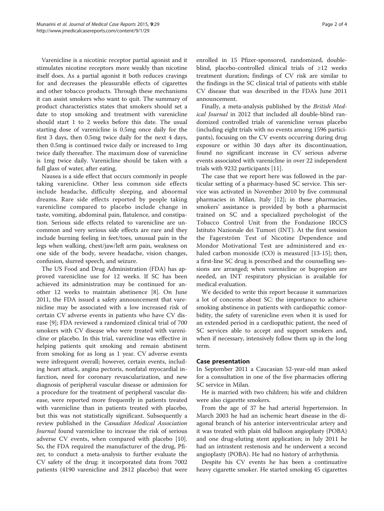Varenicline is a nicotinic receptor partial agonist and it stimulates nicotine receptors more weakly than nicotine itself does. As a partial agonist it both reduces cravings for and decreases the pleasurable effects of cigarettes and other tobacco products. Through these mechanisms it can assist smokers who want to quit. The summary of product characteristics states that smokers should set a date to stop smoking and treatment with varenicline should start 1 to 2 weeks before this date. The usual starting dose of varenicline is 0.5mg once daily for the first 3 days, then 0.5mg twice daily for the next 4 days, then 0.5mg is continued twice daily or increased to 1mg twice daily thereafter. The maximum dose of varenicline is 1mg twice daily. Varenicline should be taken with a full glass of water, after eating.

Nausea is a side effect that occurs commonly in people taking varenicline. Other less common side effects include headache, difficulty sleeping, and abnormal dreams. Rare side effects reported by people taking varenicline compared to placebo include change in taste, vomiting, abdominal pain, flatulence, and constipation. Serious side effects related to varenicline are uncommon and very serious side effects are rare and they include burning feeling in feet/toes, unusual pain in the legs when walking, chest/jaw/left arm pain, weakness on one side of the body, severe headache, vision changes, confusion, slurred speech, and seizure.

The US Food and Drug Administration (FDA) has approved varenicline use for 12 weeks. If SC has been achieved its administration may be continued for another 12 weeks to maintain abstinence [[8](#page-3-0)]. On June 2011, the FDA issued a safety announcement that varenicline may be associated with a low increased risk of certain CV adverse events in patients who have CV disease [[9\]](#page-3-0); FDA reviewed a randomized clinical trial of 700 smokers with CV disease who were treated with varenicline or placebo. In this trial, varenicline was effective in helping patients quit smoking and remain abstinent from smoking for as long as 1 year. CV adverse events were infrequent overall; however, certain events, including heart attack, angina pectoris, nonfatal myocardial infarction, need for coronary revascularization, and new diagnosis of peripheral vascular disease or admission for a procedure for the treatment of peripheral vascular disease, were reported more frequently in patients treated with varenicline than in patients treated with placebo, but this was not statistically significant. Subsequently a review published in the Canadian Medical Association Journal found varenicline to increase the risk of serious adverse CV events, when compared with placebo [\[10](#page-3-0)]. So, the FDA required the manufacturer of the drug, Pfizer, to conduct a meta-analysis to further evaluate the CV safety of the drug: it incorporated data from 7002 patients (4190 varenicline and 2812 placebo) that were

enrolled in 15 Pfizer-sponsored, randomized, doubleblind, placebo-controlled clinical trials of ≥12 weeks treatment duration; findings of CV risk are similar to the findings in the SC clinical trial of patients with stable CV disease that was described in the FDA's June 2011 announcement.

Finally, a meta-analysis published by the British Medical Journal in 2012 that included all double-blind randomized controlled trials of varenicline versus placebo (including eight trials with no events among 1596 participants), focusing on the CV events occurring during drug exposure or within 30 days after its discontinuation, found no significant increase in CV serious adverse events associated with varenicline in over 22 independent trials with 9232 participants [[11\]](#page-3-0).

The case that we report here was followed in the particular setting of a pharmacy-based SC service. This service was activated in November 2010 by five communal pharmacies in Milan, Italy [[12\]](#page-3-0); in these pharmacies, smokers' assistance is provided by both a pharmacist trained on SC and a specialized psychologist of the Tobacco Control Unit from the Fondazione IRCCS Istituto Nazionale dei Tumori (INT). At the first session the Fagerström Test of Nicotine Dependence and Mondor Motivational Test are administered and ex-haled carbon monoxide (CO) is measured [\[13-15](#page-3-0)]; then, a first-line SC drug is prescribed and the counselling sessions are arranged; when varenicline or bupropion are needed, an INT respiratory physician is available for medical evaluation.

We decided to write this report because it summarizes a lot of concerns about SC: the importance to achieve smoking abstinence in patients with cardiopathic comorbidity, the safety of varenicline even when it is used for an extended period in a cardiopathic patient, the need of SC services able to accept and support smokers and, when if necessary, intensively follow them up in the long term.

## Case presentation

In September 2011 a Caucasian 52-year-old man asked for a consultation in one of the five pharmacies offering SC service in Milan.

He is married with two children; his wife and children were also cigarette smokers.

From the age of 37 he had arterial hypertension. In March 2003 he had an ischemic heart disease in the diagonal branch of his anterior interventricular artery and it was treated with plain old balloon angioplasty (POBA) and one drug-eluting stent application; in July 2011 he had an intrastent restenosis and he underwent a second angioplasty (POBA). He had no history of arrhythmia.

Despite his CV events he has been a continuative heavy cigarette smoker. He started smoking 45 cigarettes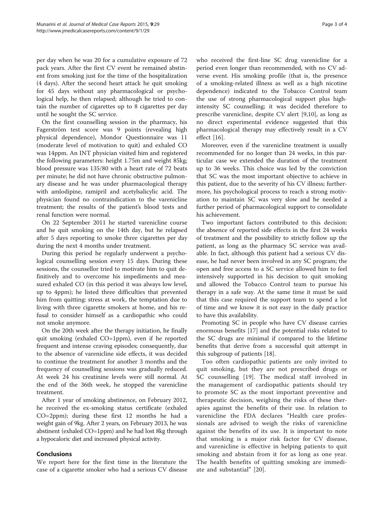per day when he was 20 for a cumulative exposure of 72 pack years. After the first CV event he remained abstinent from smoking just for the time of the hospitalization (4 days). After the second heart attack he quit smoking for 45 days without any pharmacological or psychological help, he then relapsed; although he tried to contain the number of cigarettes up to 8 cigarettes per day until he sought the SC service.

On the first counselling session in the pharmacy, his Fagerström test score was 9 points (revealing high physical dependence), Mondor Questionnaire was 11 (moderate level of motivation to quit) and exhaled CO was 14ppm. An INT physician visited him and registered the following parameters: height 1.75m and weight 85kg; blood pressure was 135/80 with a heart rate of 72 beats per minute; he did not have chronic obstructive pulmonary disease and he was under pharmacological therapy with amlodipine, ramipril and acetylsalicylic acid. The physician found no contraindication to the varenicline treatment; the results of the patient's blood tests and renal function were normal.

On 22 September 2011 he started varenicline course and he quit smoking on the 14th day, but he relapsed after 5 days reporting to smoke three cigarettes per day during the next 4 months under treatment.

During this period he regularly underwent a psychological counselling session every 15 days. During these sessions, the counsellor tried to motivate him to quit definitively and to overcome his impediments and measured exhaled CO (in this period it was always low level, up to 4ppm); he listed three difficulties that prevented him from quitting: stress at work, the temptation due to living with three cigarette smokers at home, and his refusal to consider himself as a cardiopathic who could not smoke anymore.

On the 20th week after the therapy initiation, he finally quit smoking (exhaled CO=1ppm), even if he reported frequent and intense craving episodes; consequently, due to the absence of varenicline side effects, it was decided to continue the treatment for another 3 months and the frequency of counselling sessions was gradually reduced. At week 24 his creatinine levels were still normal. At the end of the 36th week, he stopped the varenicline treatment.

After 1 year of smoking abstinence, on February 2012, he received the ex-smoking status certificate (exhaled CO=2ppm); during these first 12 months he had a weight gain of 9kg. After 2 years, on February 2013, he was abstinent (exhaled CO=1ppm) and he had lost 8kg through a hypocaloric diet and increased physical activity.

## Conclusions

We report here for the first time in the literature the case of a cigarette smoker who had a serious CV disease

who received the first-line SC drug varenicline for a period even longer than recommended, with no CV adverse event. His smoking profile (that is, the presence of a smoking-related illness as well as a high nicotine dependence) indicated to the Tobacco Control team the use of strong pharmacological support plus highintensity SC counselling; it was decided therefore to prescribe varenicline, despite CV alert [[9,10\]](#page-3-0), as long as no direct experimental evidence suggested that this pharmacological therapy may effectively result in a CV effect [[16](#page-3-0)].

Moreover, even if the varenicline treatment is usually recommended for no longer than 24 weeks, in this particular case we extended the duration of the treatment up to 36 weeks. This choice was led by the conviction that SC was the most important objective to achieve in this patient, due to the severity of his CV illness; furthermore, his psychological process to reach a strong motivation to maintain SC was very slow and he needed a further period of pharmacological support to consolidate his achievement.

Two important factors contributed to this decision: the absence of reported side effects in the first 24 weeks of treatment and the possibility to strictly follow up the patient, as long as the pharmacy SC service was available. In fact, although this patient had a serious CV disease, he had never been involved in any SC program; the open and free access to a SC service allowed him to feel intensively supported in his decision to quit smoking and allowed the Tobacco Control team to pursue his therapy in a safe way. At the same time it must be said that this case required the support team to spend a lot of time and we know it is not easy in the daily practice to have this availability.

Promoting SC in people who have CV disease carries enormous benefits [\[17](#page-3-0)] and the potential risks related to the SC drugs are minimal if compared to the lifetime benefits that derive from a successful quit attempt in this subgroup of patients [[18\]](#page-3-0).

Too often cardiopathic patients are only invited to quit smoking, but they are not prescribed drugs or SC counselling [[19\]](#page-3-0). The medical staff involved in the management of cardiopathic patients should try to promote SC as the most important preventive and therapeutic decision, weighing the risks of these therapies against the benefits of their use. In relation to varenicline the FDA declares "Health care professionals are advised to weigh the risks of varenicline against the benefits of its use. It is important to note that smoking is a major risk factor for CV disease, and varenicline is effective in helping patients to quit smoking and abstain from it for as long as one year. The health benefits of quitting smoking are immediate and substantial" [[20\]](#page-3-0).